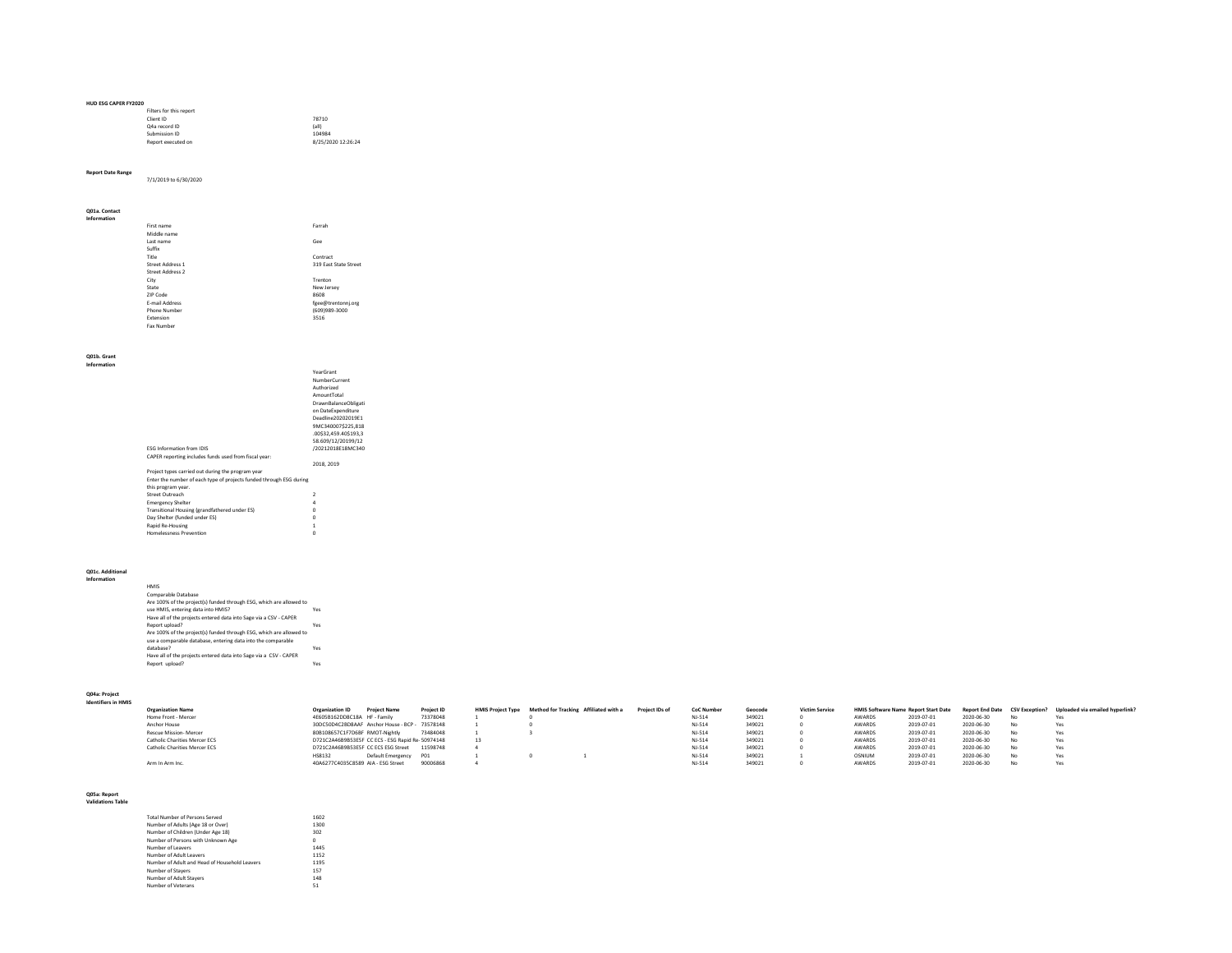| <b>HUD ESG CAPER FY2020</b> |                    |
|-----------------------------|--------------------|
| Filters for this report     |                    |
| Client ID                   | 78710              |
| Q4a record ID               | (a  )              |
| Submission ID               | 104984             |
| Report executed on          | 8/25/2020 12:26:24 |

**Report Date Range** 7/1/2019 to 6/30/2020

### **Q01a. Contact Information**

| ,,,,,,,,,,,,,, |                         |                       |
|----------------|-------------------------|-----------------------|
|                | First name              | Farrah                |
|                | Middle name             |                       |
|                | Last name               | Gee                   |
|                | Suffix                  |                       |
|                | Title                   | Contract              |
|                | <b>Street Address 1</b> | 319 East State Street |
|                | Street Address 2        |                       |
|                | City                    | Trenton               |
|                | State                   | New Jersey            |
|                | ZIP Code                | 8608                  |
|                | <b>F-mail Address</b>   | fgee@trentonnj.org    |
|                | Phone Number            | (609)989-3000         |
|                | Extension               | 3516                  |
|                | Fax Number              |                       |
|                |                         |                       |

#### **Q01b. Grant**

| Information |  |
|-------------|--|
|-------------|--|

|                                                                     | YearGrant                   |
|---------------------------------------------------------------------|-----------------------------|
|                                                                     | NumberCurrent               |
|                                                                     | Authorized                  |
|                                                                     | AmountTotal                 |
|                                                                     | <b>DrawnBalanceObligati</b> |
|                                                                     | on DateExpenditure          |
|                                                                     | Deadline20202019F1          |
|                                                                     | 9MC340007\$225.818          |
|                                                                     | 00\$32.459.40\$193.3        |
|                                                                     | 58.609/12/20199/12          |
| <b>ESG Information from IDIS</b>                                    | /20212018E18MC340           |
| CAPER reporting includes funds used from fiscal year:               |                             |
|                                                                     | 2018, 2019                  |
| Project types carried out during the program year                   |                             |
| Enter the number of each type of projects funded through ESG during |                             |
| this program year.                                                  |                             |
| Street Outreach                                                     | $\mathcal{P}$               |
| <b>Emergency Shelter</b>                                            | 4                           |
| Transitional Housing (grandfathered under ES)                       | n                           |
| Day Shelter (funded under ES)                                       | n                           |
| Rapid Re-Housing                                                    | 1                           |
| <b>Homelessness Prevention</b>                                      | n                           |
|                                                                     |                             |

### **Q01c. Additional Information**

| <b>HMIS</b>                                                         |     |
|---------------------------------------------------------------------|-----|
| Comparable Database                                                 |     |
| Are 100% of the project(s) funded through ESG, which are allowed to |     |
| use HMIS, entering data into HMIS?                                  | Yes |
| Have all of the projects entered data into Sage via a CSV - CAPER   |     |
| Report upload?                                                      | Yes |
| Are 100% of the project(s) funded through ESG, which are allowed to |     |
| use a comparable database, entering data into the comparable        |     |
| database?                                                           | Yes |
| Have all of the projects entered data into Sage via a CSV - CAPER   |     |
| Report upload?                                                      | Yes |

### **Q04a: Project Identifiers in HMIS**

| <b>Organization Name</b>      | Organization ID                                   | <b>Project Name</b>   | Project ID |    | HMIS Project Type Method for Tracking Affiliated with a | Project IDs of | <b>CoC Number</b> | Geocode | <b>Victim Service</b> | HMIS Software Name Report Start Date |            |            |      | Report End Date CSV Exception? Uploaded via emailed hyperlink? |
|-------------------------------|---------------------------------------------------|-----------------------|------------|----|---------------------------------------------------------|----------------|-------------------|---------|-----------------------|--------------------------------------|------------|------------|------|----------------------------------------------------------------|
| Home Front - Mercer           | 4E605B162DD8C18A HF - Family                      |                       | 73378048   |    |                                                         |                | <b>NJ-514</b>     | 349021  |                       | AWARDS                               | 2019-07-01 | 2020-06-30 | No   | Yes                                                            |
| Anchor House                  | 30DC50D4C2BD8AAF Anchor House - BCP - 73578148    |                       |            |    |                                                         |                | <b>NJ-514</b>     | 349021  |                       | AWARDS                               | 2019-07-01 | 2020-06-30 | No.  | Yes                                                            |
| Rescue Mission- Mercer        | 80B108657C1F7D6BF RMOT-Nightly                    |                       | 73484048   |    |                                                         |                | <b>NJ-514</b>     | 349021  |                       | AWARDS                               | 2019-07-01 | 2020-06-30 | No   | Yes                                                            |
| Catholic Charities Mercer ECS | D721C2A46B9B53E5F CC ECS - ESG Rapid Re- 50974148 |                       |            | 13 |                                                         |                | <b>NJ-514</b>     | 349021  |                       | AWARDS                               | 2019-07-01 | 2020-06-30 | No   | Yes                                                            |
| Catholic Charities Mercer ECS | D721C2A46B9B53E5F CC ECS ESG Street               |                       | 11598748   |    |                                                         |                | NJ-514            | 349021  |                       | AWARDS                               | 2019-07-01 | 2020-06-30 | No   | Yes                                                            |
|                               | <b>HS8132</b>                                     | Default Emergency P01 |            |    |                                                         |                | NJ-514            | 349021  |                       | OSNIUM                               | 2019-07-01 | 2020-06-30 | ALC: | Yes                                                            |
| Arm In Arm Inc.               | 40A6277C4035C8589 AIA - ESG Street                |                       | 90006868   |    |                                                         |                | $NJ-510$          | 349021  |                       | AWARDS                               | 2019-07-01 | 2020-06-30 |      | Yes                                                            |
|                               |                                                   |                       |            |    |                                                         |                |                   |         |                       |                                      |            |            |      |                                                                |

### **Q05a: Report Validations Table**

| <b>Total Number of Persons Served</b>         | 1602 |
|-----------------------------------------------|------|
| Number of Adults (Age 18 or Over)             | 1300 |
| Number of Children (Under Age 18)             | 302  |
| Number of Persons with Unknown Age            | n    |
| Number of Leavers                             | 1445 |
| Number of Adult Leavers                       | 1152 |
| Number of Adult and Head of Household Leavers | 1195 |
| Number of Stavers                             | 157  |
| Number of Adult Stavers                       | 148  |
| Number of Veterans                            | 51   |
|                                               |      |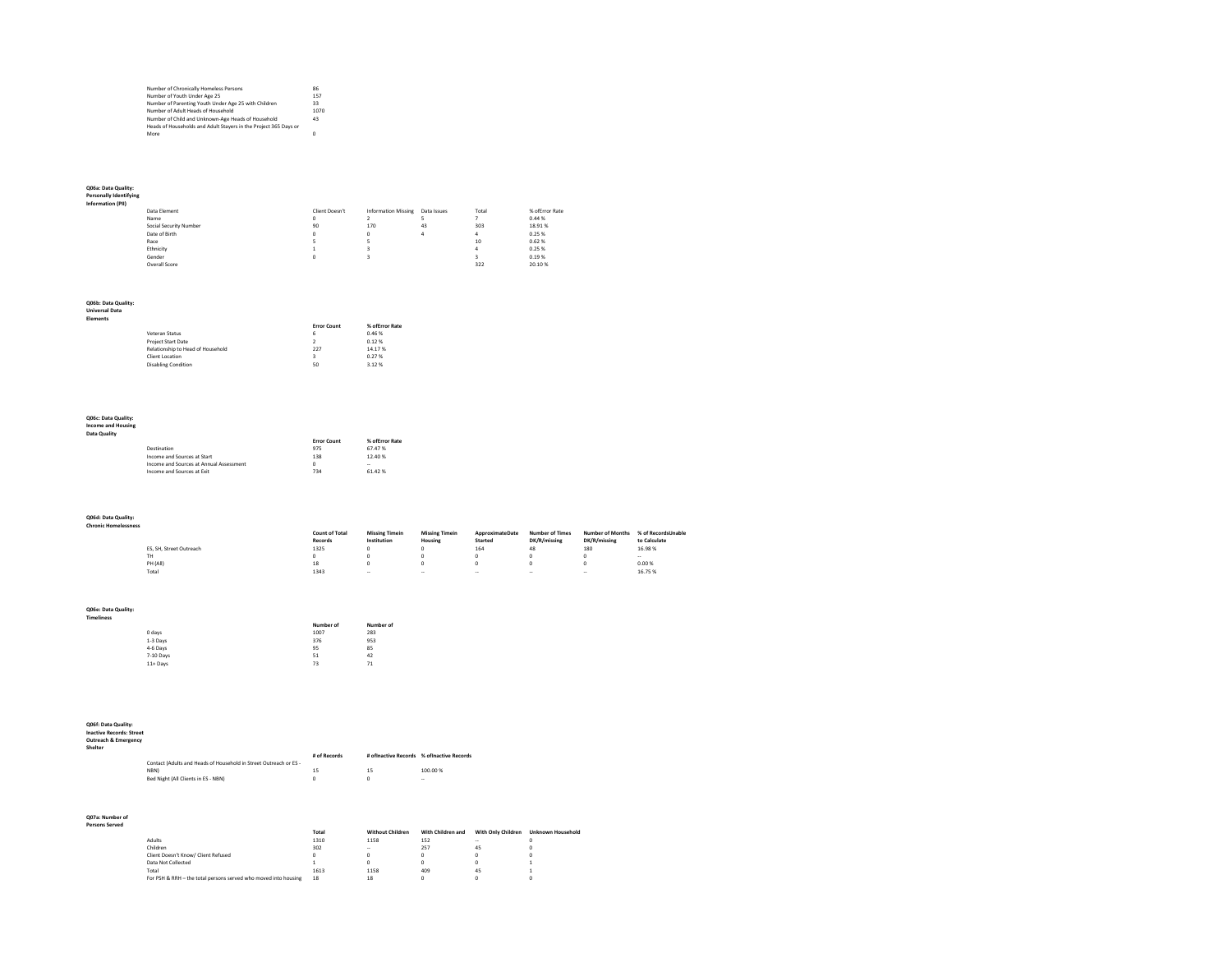| Number of Chronically Homeless Persons                           | 86   |  |
|------------------------------------------------------------------|------|--|
| Number of Youth Under Age 25                                     | 157  |  |
| Number of Parenting Youth Under Age 25 with Children             | 33   |  |
| Number of Adult Heads of Household                               | 1070 |  |
| Number of Child and Unknown-Age Heads of Household               | 43   |  |
| Heads of Households and Adult Stayers in the Project 365 Days or |      |  |
| More                                                             | n    |  |

# **Q06a: Data Quality: Personally Identifying Information (PII)**

| nformation (PII) |                        |                |                            |             |       |                |
|------------------|------------------------|----------------|----------------------------|-------------|-------|----------------|
|                  | Data Element           | Client Doesn't | <b>Information Missing</b> | Data Issues | Total | % ofError Rate |
|                  | Name                   | ٥              |                            |             |       | 0.44%          |
|                  | Social Security Number | 90             | 170                        | 43          | 303   | 18.91%         |
|                  | Date of Birth          | n              | n                          | 4           |       | 0.25%          |
|                  | Race                   |                |                            |             | 10    | 0.62%          |
|                  | Ethnicity              |                |                            |             |       | 0.25%          |
|                  | Gender                 |                |                            |             |       | 0.19%          |
|                  | Overall Score          |                |                            |             | 322   | 20.10%         |
|                  |                        |                |                            |             |       |                |

## **Q06b: Data Quality: Universal Data**

| <b>Elements</b> |  |  |  |  |
|-----------------|--|--|--|--|
| .               |  |  |  |  |

|                                   | <b>Error Count</b> | % of Error Rate |
|-----------------------------------|--------------------|-----------------|
| Veteran Status                    | 6                  | 0.46%           |
| <b>Project Start Date</b>         | $\mathcal{P}$      | 0.12%           |
| Relationship to Head of Household | 227                | 14.17%          |
| Client Location                   | ٩                  | 0.27%           |
| <b>Disabling Condition</b>        | 50                 | 3.12%           |

# **Q06c: Data Quality: Income and Housing Data Quality**

| ality |             |                    |                 |
|-------|-------------|--------------------|-----------------|
|       |             | <b>Error Count</b> | % of Error Rate |
|       | Destination | 975                | 67.47%          |

| --------------                          | --- |        |
|-----------------------------------------|-----|--------|
| Income and Sources at Start             | 138 | 12.40% |
| Income and Sources at Annual Assessment |     | $\sim$ |
| Income and Sources at Exit              | 734 | 61.42% |
|                                         |     |        |

**Q06d: Data Quality: Chronic Homelessness**

|                         | <b>Count of Total</b> | <b>Missing Timein</b> | <b>Missing Timein</b> | ApproximateDate | <b>Number of Times</b> | <b>Number of Months</b> | % of RecordsUnable |
|-------------------------|-----------------------|-----------------------|-----------------------|-----------------|------------------------|-------------------------|--------------------|
|                         | Records               | Institution           | Housing               | Started         | DK/R/missing           | DK/R/missing            | to Calculate       |
| ES. SH. Street Outreach | 1325                  | n                     | o                     | 164             | 48                     | 180                     | 16.98%             |
| TH                      |                       | n                     |                       | n               |                        | n                       | <b>A</b><br>-      |
| PH (All)                | 18                    | n                     |                       | n               |                        | n                       | 0.00%              |
| Total                   | 1343                  | $\sim$                | $\sim$                | $\sim$          | $\sim$                 | $\sim$                  | 16.75%             |
|                         |                       |                       |                       |                 |                        |                         |                    |
|                         |                       |                       |                       |                 |                        |                         |                    |

## **Q06e: Data Quality: Timeliness**

|           | Number of | Number of |
|-----------|-----------|-----------|
| 0 days    | 1007      | 283       |
| 1-3 Days  | 376       | 953       |
| 4-6 Days  | 95        | 85        |
| 7-10 Days | 51        | 42        |
| 11+ Days  | 73        | 71        |
|           |           |           |

**Q06f: Data Quality: Inactive Records: Street Outreach & Emergency Shelter**

| Contact (Adults and Heads of Household in Street Outreach or ES - | # of Records | # ofinactive Records % ofinactive Records |
|-------------------------------------------------------------------|--------------|-------------------------------------------|
| NBN)<br>Bed Night (All Clients in ES - NBN)                       | 15           | 100.00%<br>-                              |

### **Q07a: Number of Persons Served**

|                                                                 | Total | <b>Without Children</b> | With Children and | With Only Children | <b>Unknown Household</b> |
|-----------------------------------------------------------------|-------|-------------------------|-------------------|--------------------|--------------------------|
| Adults                                                          | 1310  | 1158                    | 152               | $\sim$             |                          |
| Children                                                        | 302   | $\sim$                  | 257               | 45                 |                          |
| Client Doesn't Know/ Client Refused                             |       |                         |                   |                    |                          |
| Data Not Collected                                              |       |                         |                   |                    |                          |
| Total                                                           | 1613  | 1158                    | 409               | 45                 |                          |
| For PSH & RRH - the total persons served who moved into housing | 18    | 18                      |                   |                    |                          |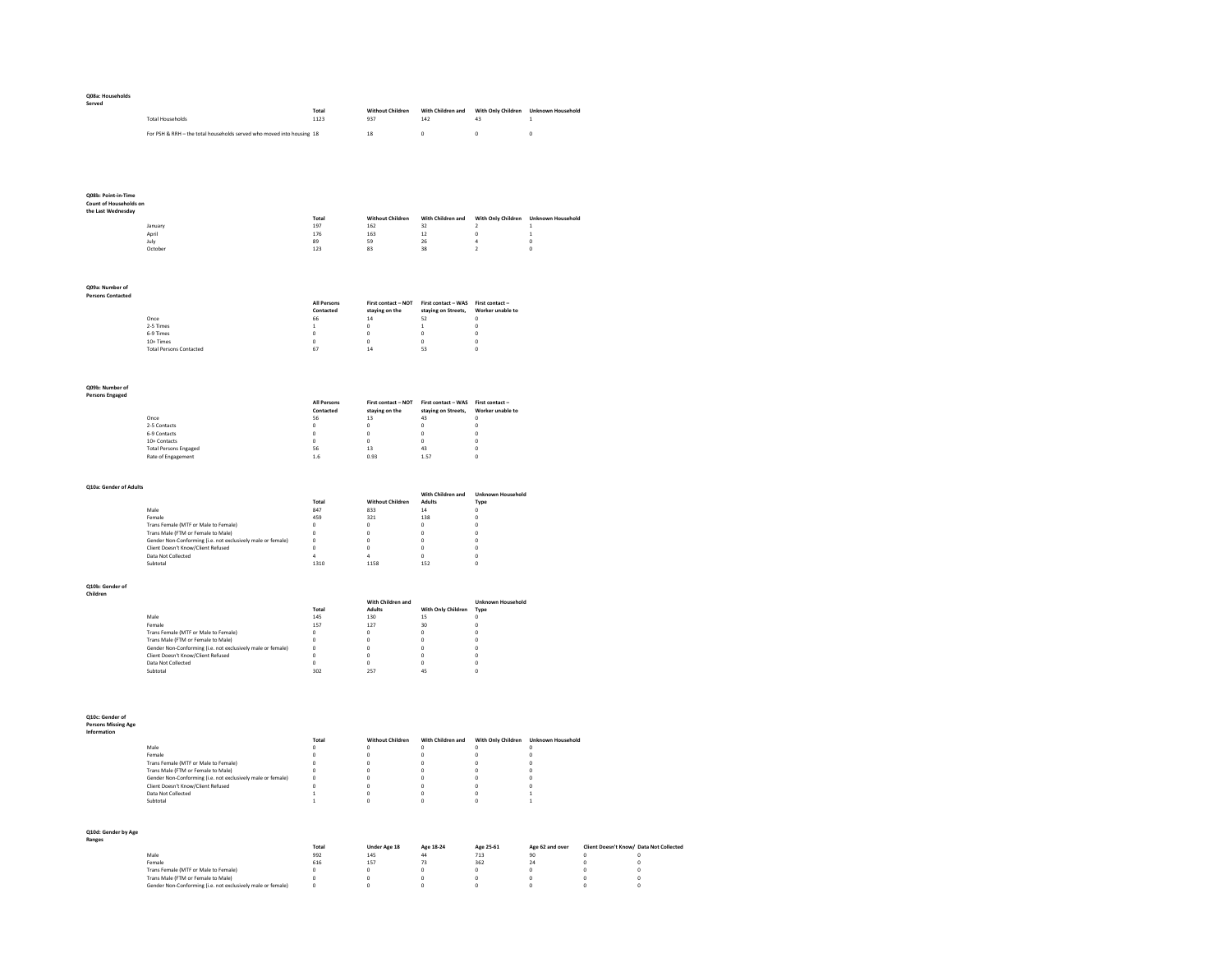| Q08a: Households                          |                                                                                                                                           |                                  |                                             |                                                     |                                      |                                     |                                           |                                       |
|-------------------------------------------|-------------------------------------------------------------------------------------------------------------------------------------------|----------------------------------|---------------------------------------------|-----------------------------------------------------|--------------------------------------|-------------------------------------|-------------------------------------------|---------------------------------------|
| Served                                    |                                                                                                                                           | Total                            | <b>Without Children</b>                     | With Children and                                   | With Only Children Unknown Household |                                     |                                           |                                       |
|                                           | <b>Total Households</b>                                                                                                                   | 1123                             | 937                                         | 142                                                 | 43                                   | $\mathbf{1}$                        |                                           |                                       |
|                                           | For PSH & RRH - the total households served who moved into housing 18                                                                     |                                  | $^{\rm 18}$                                 | $\circ$                                             | $\mathbf{0}$                         | $\bf{0}$                            |                                           |                                       |
|                                           |                                                                                                                                           |                                  |                                             |                                                     |                                      |                                     |                                           |                                       |
|                                           |                                                                                                                                           |                                  |                                             |                                                     |                                      |                                     |                                           |                                       |
|                                           |                                                                                                                                           |                                  |                                             |                                                     |                                      |                                     |                                           |                                       |
|                                           |                                                                                                                                           |                                  |                                             |                                                     |                                      |                                     |                                           |                                       |
| Q08b: Point-in-Time                       |                                                                                                                                           |                                  |                                             |                                                     |                                      |                                     |                                           |                                       |
| Count of Households on                    |                                                                                                                                           |                                  |                                             |                                                     |                                      |                                     |                                           |                                       |
| the Last Wednesday                        |                                                                                                                                           | Total                            | <b>Without Children</b>                     | With Children and                                   | With Only Children Unknown Household |                                     |                                           |                                       |
|                                           | January                                                                                                                                   | 197                              | 162                                         | 32                                                  | $\overline{2}$                       |                                     |                                           |                                       |
|                                           | April<br>July                                                                                                                             | 176<br>89                        | 163<br>59                                   | $12$<br>$^{26}$                                     | $\bf{0}$<br>4                        | $\,$ 1<br>$\bf{0}$                  |                                           |                                       |
|                                           | Octobe                                                                                                                                    | 123                              | 83                                          | 38                                                  | $\mathbf 2$                          | $\bf{0}$                            |                                           |                                       |
|                                           |                                                                                                                                           |                                  |                                             |                                                     |                                      |                                     |                                           |                                       |
|                                           |                                                                                                                                           |                                  |                                             |                                                     |                                      |                                     |                                           |                                       |
| Q09a: Number of                           |                                                                                                                                           |                                  |                                             |                                                     |                                      |                                     |                                           |                                       |
| <b>Persons Contacted</b>                  |                                                                                                                                           | All Persons                      | First contact - NOT                         | First contact - WAS                                 | First contact-                       |                                     |                                           |                                       |
|                                           |                                                                                                                                           | Contacted                        | staying on the                              | staying on Streets,                                 | Worker unable to                     |                                     |                                           |                                       |
|                                           | Once<br>2-5 Times                                                                                                                         | 66<br>$\,$ 1 $\,$                | 14<br>$\mathbf 0$                           | 52<br>$\,$ 1 $\,$                                   | $\circ$<br>$\bf 0$                   |                                     |                                           |                                       |
|                                           | 6-9 Times                                                                                                                                 | $\bf 0$                          | $\mathfrak o$                               | $\mathbf 0$                                         | $\mathbf 0$                          |                                     |                                           |                                       |
|                                           | 10+ Times<br><b>Total Persons Contacted</b>                                                                                               | $\pmb{0}$<br>67                  | $\mathbf 0$<br>$14\,$                       | $\mathsf 0$<br>53                                   | $\mathbf 0$<br>$\mathbf{0}$          |                                     |                                           |                                       |
|                                           |                                                                                                                                           |                                  |                                             |                                                     |                                      |                                     |                                           |                                       |
|                                           |                                                                                                                                           |                                  |                                             |                                                     |                                      |                                     |                                           |                                       |
|                                           |                                                                                                                                           |                                  |                                             |                                                     |                                      |                                     |                                           |                                       |
| Q09b: Number of<br><b>Persons Engaged</b> |                                                                                                                                           |                                  |                                             |                                                     |                                      |                                     |                                           |                                       |
|                                           |                                                                                                                                           | All Persons                      | ${\sf First}$ contact $-$ NOT               | First contact - WAS                                 | First contact-                       |                                     |                                           |                                       |
|                                           | Once                                                                                                                                      | Contacted<br>56                  | staying on the<br>13                        | staying on Streets,<br>43                           | Worker unable to<br>$\Omega$         |                                     |                                           |                                       |
|                                           | 2-5 Contacts                                                                                                                              | $\circ$                          | $\circ$                                     | $\circ$                                             | $\circ$                              |                                     |                                           |                                       |
|                                           | 6-9 Contacts<br>10+ Contacts                                                                                                              | $\,$ 0 $\,$<br>$\bf 0$           | $\mathfrak o$<br>$\mathfrak o$              | $\mathbf 0$<br>$\mathbf 0$                          | $\pmb{0}$<br>$\mathbf 0$             |                                     |                                           |                                       |
|                                           | <b>Total Persons Engaged</b>                                                                                                              | 56                               | $13\,$                                      | 43                                                  | $\mathbf 0$                          |                                     |                                           |                                       |
|                                           | Rate of Engagement                                                                                                                        | $1.6$                            | 0.93                                        | 1.57                                                | $\mathbf{0}$                         |                                     |                                           |                                       |
|                                           |                                                                                                                                           |                                  |                                             |                                                     |                                      |                                     |                                           |                                       |
| Q10a: Gender of Adults                    |                                                                                                                                           |                                  |                                             |                                                     |                                      |                                     |                                           |                                       |
|                                           |                                                                                                                                           |                                  |                                             | With Children and                                   | <b>Unknown Household</b>             |                                     |                                           |                                       |
|                                           | Male                                                                                                                                      | Total<br>847                     | <b>Without Children</b><br>833              | Adults<br>14                                        | Type<br>o                            |                                     |                                           |                                       |
|                                           | Female                                                                                                                                    | 459                              | 321                                         | 138                                                 | $\pmb{0}$                            |                                     |                                           |                                       |
|                                           | Trans Female (MTF or Male to Female)<br>Trans Male (FTM or Female to Male)                                                                | $\Omega$<br>$\mathbf{0}$         | $\circ$<br>$\circ$                          | $\Omega$<br>$\circ$                                 | $\circ$<br>$\circ$                   |                                     |                                           |                                       |
|                                           | Gender Non-Conforming (i.e. not exclusively male or female)                                                                               | $\mathfrak o$                    | $\mathfrak o$                               | $\mathfrak o$                                       | $\pmb{0}$                            |                                     |                                           |                                       |
|                                           | Client Doesn't Know/Client Refused<br>Data Not Collected                                                                                  | $\bf{0}$<br>4                    | $\mathfrak o$<br>$\overline{a}$             | $\mathbf 0$<br>$\mathbf 0$                          | $\pmb{0}$<br>0                       |                                     |                                           |                                       |
|                                           | Subtotal                                                                                                                                  | 1310                             | 1158                                        | 152                                                 | $\bf 0$                              |                                     |                                           |                                       |
|                                           |                                                                                                                                           |                                  |                                             |                                                     |                                      |                                     |                                           |                                       |
| Q10b: Gender of                           |                                                                                                                                           |                                  |                                             |                                                     |                                      |                                     |                                           |                                       |
| Children                                  |                                                                                                                                           |                                  | With Children and                           |                                                     | <b>Unknown Household</b>             |                                     |                                           |                                       |
|                                           |                                                                                                                                           | Total                            | Adults                                      | With Only Children                                  | Type                                 |                                     |                                           |                                       |
|                                           | Male<br>Female                                                                                                                            | 145<br>157                       | 130<br>127                                  | 15<br>30                                            | $\mathbf{0}$<br>$\circ$              |                                     |                                           |                                       |
|                                           | Trans Female (MTF or Male to Female)                                                                                                      | $\Omega$                         | $\Omega$                                    | $\Omega$                                            | $\Omega$                             |                                     |                                           |                                       |
|                                           | Trans Male (FTM or Female to Male)<br>Gender Non-Conforming (i.e. not exclusively male or female)                                         | $\circ$<br>$\mathbf 0$           | $\circ$<br>$\mathfrak o$                    | $\circ$<br>$\mathbf 0$                              | $\circ$<br>$\mathfrak o$             |                                     |                                           |                                       |
|                                           | Client Doesn't Know/Client Refused                                                                                                        | o                                | $\mathfrak o$                               | $\mathfrak o$                                       | $\mathbf{0}$                         |                                     |                                           |                                       |
|                                           | Data Not Collected<br>Subtotal                                                                                                            | $\bf{0}$<br>302                  | $\mathfrak o$<br>257                        | $\mathbf 0$<br>45                                   | $\pmb{0}$<br>$\circ$                 |                                     |                                           |                                       |
|                                           |                                                                                                                                           |                                  |                                             |                                                     |                                      |                                     |                                           |                                       |
|                                           |                                                                                                                                           |                                  |                                             |                                                     |                                      |                                     |                                           |                                       |
|                                           |                                                                                                                                           |                                  |                                             |                                                     |                                      |                                     |                                           |                                       |
| Q10c: Gender of                           |                                                                                                                                           |                                  |                                             |                                                     |                                      |                                     |                                           |                                       |
| <b>Persons Missing Age</b><br>Information |                                                                                                                                           |                                  |                                             |                                                     |                                      |                                     |                                           |                                       |
|                                           |                                                                                                                                           | Total                            | Without Children                            | With Children and                                   | With Only Children                   | <b>Unknown Household</b>            |                                           |                                       |
|                                           | Male<br>Female                                                                                                                            | $\circ$<br>$\mathbf 0$           | $\circ$<br>$\mathfrak o$                    | $\circ$<br>$\circ$                                  | $\mathbf{0}$<br>$\bf{0}$             | $\circ$<br>$\bf{0}$                 |                                           |                                       |
|                                           | Trans Female (MTF or Male to Female)                                                                                                      | $\bf{0}$                         | $\bf{0}$                                    | $\circ$                                             | $\mathbf{0}$                         | $\bf{0}$                            |                                           |                                       |
|                                           | Trans Male (FTM or Female to Male)<br>Gender Non-Conforming (i.e. not exclusively male or female)                                         | $\bf{0}$<br>$\circ$              | $\mathfrak o$<br>$\circ$                    | $\mathfrak o$<br>$\mathbf 0$                        | $\mathbf 0$<br>$\circ$               | $\bf{0}$<br>$\mathbf{0}$            |                                           |                                       |
|                                           | Client Doesn't Know/Client Refused                                                                                                        | $\circ$                          | $\circ$                                     | $\circ$                                             | $\circ$                              | $\circ$                             |                                           |                                       |
|                                           | Data Not Collected<br>Subtotal                                                                                                            | $\,$ 1 $\,$<br>$\mathbf{1}$      | $\mathbf 0$<br>$\circ$                      | $\mathbf 0$<br>$\circ$                              | $\bf 0$<br>$\circ$                   | $\,$ 1<br>$\mathbf{1}$              |                                           |                                       |
|                                           |                                                                                                                                           |                                  |                                             |                                                     |                                      |                                     |                                           |                                       |
|                                           |                                                                                                                                           |                                  |                                             |                                                     |                                      |                                     |                                           |                                       |
| Q10d: Gender by Age                       |                                                                                                                                           |                                  |                                             |                                                     |                                      |                                     |                                           |                                       |
| Ranges                                    |                                                                                                                                           | Total                            | Under Age 18                                | Age 18-24                                           | Age 25-61                            | Age 62 and over                     | Client Doesn't Know/ Data Not Collected   |                                       |
|                                           |                                                                                                                                           |                                  |                                             |                                                     |                                      |                                     |                                           |                                       |
|                                           | Male                                                                                                                                      | 992                              | 145                                         | 44                                                  | 713                                  | 90                                  | $\circ$                                   | $\circ$                               |
|                                           | Female                                                                                                                                    | 616                              | 157                                         | 73                                                  | 362                                  | $^{24}$                             | $\bf 0$                                   | $\mathsf 0$                           |
|                                           | Trans Female (MTF or Male to Female)<br>Trans Male (FTM or Female to Male)<br>Gender Non-Conforming (i.e. not exclusively male or female) | o<br>$\mathbf 0$<br>$\mathbf{0}$ | $\mathbf 0$<br>$\mathfrak o$<br>$\mathbf 0$ | $\mathfrak o$<br>$\mathbf 0$<br>$\mathsf{O}\xspace$ | o<br>$\mathbf 0$<br>$\mathbf{0}$     | $\mathbf{0}$<br>$\bf{0}$<br>$\bf 0$ | $\mathbf 0$<br>$\mathbf 0$<br>$\mathbf 0$ | $\circ$<br>$\mathbf 0$<br>$\mathbf 0$ |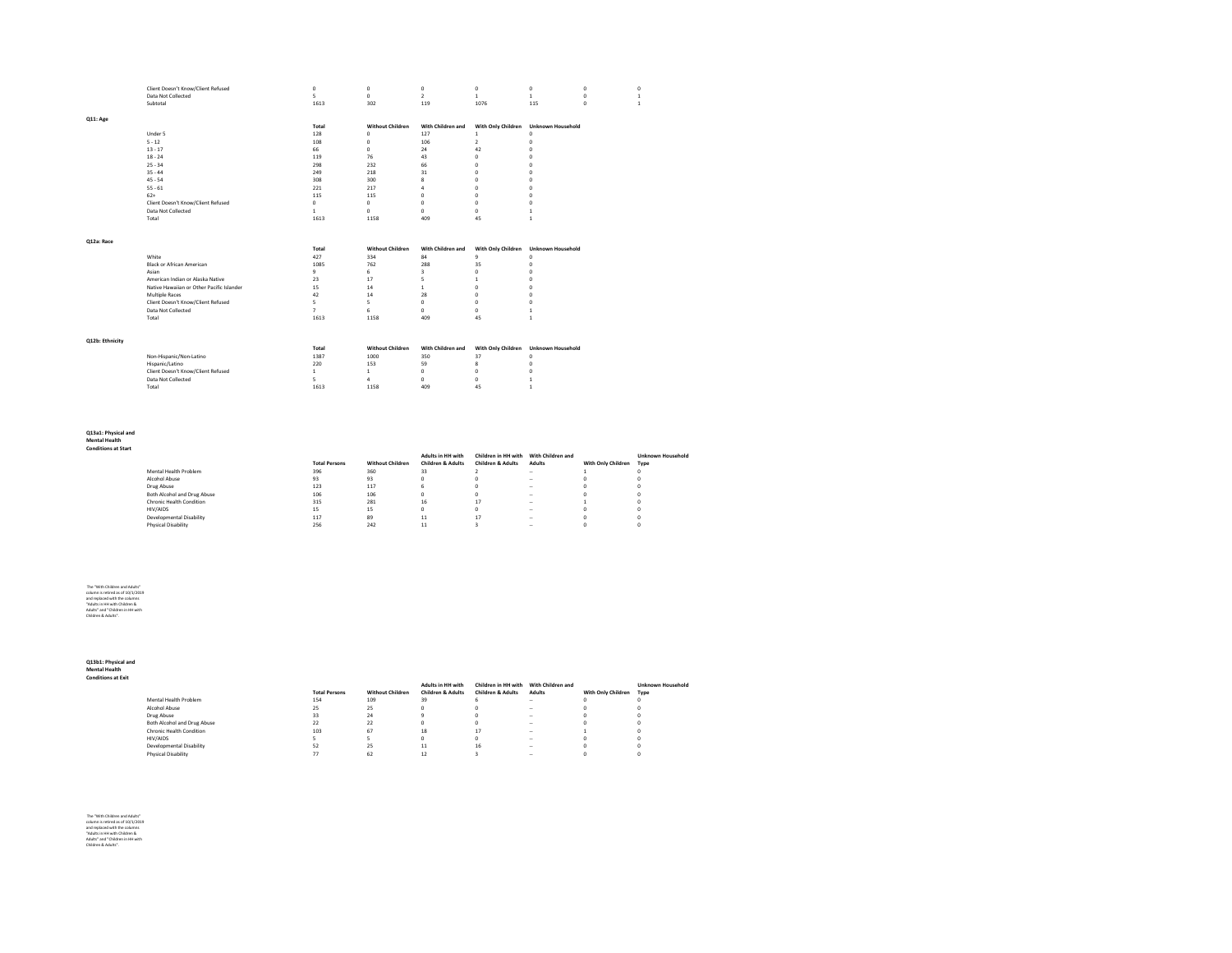|                 | Client Doesn't Know/Client Refused        | $\mathbf{0}$   | 0                       | $\circ$                 | 0                        | $\mathbf{0}$             | 0            |                |
|-----------------|-------------------------------------------|----------------|-------------------------|-------------------------|--------------------------|--------------------------|--------------|----------------|
|                 | Data Not Collected                        | 5              | $\circ$                 | $\overline{2}$          | $\mathbf{1}$             | $\mathbf{1}$             | $\mathbf{0}$ |                |
|                 | Subtotal                                  | 1613           | 302                     | 119                     | 1076                     | 115                      | $\mathbf{0}$ | $\overline{1}$ |
|                 |                                           |                |                         |                         |                          |                          |              |                |
| Q11: Age        |                                           |                |                         |                         |                          |                          |              |                |
|                 |                                           | Total          | <b>Without Children</b> | With Children and       | With Only Children       | <b>Unknown Household</b> |              |                |
|                 | Under 5                                   | 128            | $\circ$                 | 127                     | $\,$ 1 $\,$              | $\mathbf 0$              |              |                |
|                 | $5 - 12$                                  | 108            | $\circ$                 | 106                     | $\overline{2}$           | $\bf 0$                  |              |                |
|                 | $13 - 17$                                 | 66             | $\circ$                 | 24                      | 42                       | $\mathbf{0}$             |              |                |
|                 | $18 - 24$                                 | 119            | 76                      | 43                      | $\mathbf{0}$             | $\mathbf{0}$             |              |                |
|                 | $25 - 34$                                 | 298            | 232                     | 66                      | $\mathbf{0}$             | $\mathbf{0}$             |              |                |
|                 | $35 - 44$                                 | 249            | 218                     | 31                      | $\mathbf{0}$             | $\mathbf{0}$             |              |                |
|                 | $45 - 54$                                 | 308            | 300                     | 8                       | $\bf{0}$                 | $\mathbf{0}$             |              |                |
|                 | $55 - 61$                                 | 221            | 217                     | $\overline{a}$          | $\bf{0}$                 | $\circ$                  |              |                |
|                 | $62+$                                     | 115            | 115                     | $\circ$                 | $\bf{0}$                 | $\mathbf{0}$             |              |                |
|                 | Client Doesn't Know/Client Refused        | $\mathbf{0}$   | $\circ$                 | $\circ$                 | $\bf{0}$                 | $\mathbf{0}$             |              |                |
|                 | Data Not Collected                        | $\mathbf{1}$   | $\circ$                 | $\circ$                 | $\mathbf{0}$             | $\mathbf{1}$             |              |                |
|                 | Total                                     | 1613           | 1158                    | 409                     | 45                       | $\mathbf{1}$             |              |                |
|                 |                                           |                |                         |                         |                          |                          |              |                |
|                 |                                           |                |                         |                         |                          |                          |              |                |
| Q12a: Race      |                                           |                |                         |                         |                          |                          |              |                |
|                 |                                           | Total          | <b>Without Children</b> | With Children and       | With Only Children       | <b>Unknown Household</b> |              |                |
|                 | White                                     | 427            | 334                     | 84                      | 9                        | $\mathbf{0}$             |              |                |
|                 | <b>Black or African American</b>          | 1085           | 762                     | 288                     | 35                       | $\mathbf{0}$             |              |                |
|                 | Asian                                     | $\overline{9}$ | 6                       | $\overline{\mathbf{3}}$ | $\mathbf{0}$             | $\mathbf{0}$             |              |                |
|                 | American Indian or Alaska Native          | 23             | 17                      | 5                       | $\mathbf{1}$             | $\mathbf{0}$             |              |                |
|                 | Native Hawaiian or Other Pacific Islander | 15             | 14                      | $\mathbf{1}$            | $\bf{0}$                 | $\mathbf{0}$             |              |                |
|                 | Multiple Races                            | 42             | 14                      | 28                      | $\bf{0}$                 | $\mathbf{0}$             |              |                |
|                 | Client Doesn't Know/Client Refused        | 5              | 5                       | $\circ$                 | $\mathbf{0}$             | $\mathbf{0}$             |              |                |
|                 | Data Not Collected                        | $\overline{7}$ | 6                       | $\circ$                 | $\mathbf{0}$             | $\mathbf{1}$             |              |                |
|                 | Total                                     | 1613           | 1158                    | 409                     | 45                       | <sup>1</sup>             |              |                |
|                 |                                           |                |                         |                         |                          |                          |              |                |
|                 |                                           |                |                         |                         |                          |                          |              |                |
| Q12b: Ethnicity |                                           |                | <b>Without Children</b> | With Children and       |                          |                          |              |                |
|                 | Non-Hispanic/Non-Latino                   | Total<br>1387  | 1000                    | 350                     | With Only Children<br>37 | <b>Unknown Household</b> |              |                |
|                 |                                           |                |                         |                         |                          | $\mathbf 0$              |              |                |
|                 | Hispanic/Latino                           | 220            | 153                     | 59                      | 8                        | $\mathbf{0}$             |              |                |
|                 | Client Doesn't Know/Client Refused        | $\mathbf{1}$   | $\mathbf{1}$            | $\circ$                 | $\mathbf{0}$             | $\circ$                  |              |                |
|                 | Data Not Collected                        | 5              | $\overline{4}$          | $^{\circ}$              | $\mathbf{0}$             | $\mathbf{1}$             |              |                |
|                 | Total                                     | 1613           | 1158                    | 409                     | 45                       | $\mathbf{1}$             |              |                |

## **Q13a1: Physical and Mental Health Conditions at Start**

|                             |                      |                         | <b>Adults in HH with</b>     | Children in HH with | With Children and |                    | <b>Unknown Household</b> |
|-----------------------------|----------------------|-------------------------|------------------------------|---------------------|-------------------|--------------------|--------------------------|
|                             | <b>Total Persons</b> | <b>Without Children</b> | <b>Children &amp; Adults</b> | Children & Adults   | <b>Adults</b>     | With Only Children | Type                     |
| Mental Health Problem       | 396                  | 360                     | 33                           |                     | $\sim$            |                    |                          |
| Alcohol Abuse               | 93                   | 93                      |                              |                     | $\sim$            |                    |                          |
| Drug Abuse                  | 123                  | 117                     |                              |                     | $\sim$            |                    |                          |
| Both Alcohol and Drug Abuse | 106                  | 106                     |                              |                     | $\sim$            |                    |                          |
| Chronic Health Condition    | 315                  | 281                     | 16                           | 17                  | $\sim$            |                    |                          |
| <b>HIV/AIDS</b>             | 15                   | 15                      |                              |                     | $\sim$            |                    |                          |
| Developmental Disability    | 117                  | 89                      | 11                           | 17                  | $\sim$            |                    |                          |
| Physical Disability         | 256                  | 242                     |                              |                     | $\sim$            |                    |                          |

# The "With Children and Adults" column is retired as of 10/1/2019 and replaced with the columns "Adults in HH with Children & Adults" and "Children in HH with Children & Adults".

**Q13b1: Physical and Mental Health Conditions at Exit**

|                             |                      |                         | <b>Adults in HH with</b>     | Children in HH with With Children and |               |                         | <b>Unknown Household</b> |
|-----------------------------|----------------------|-------------------------|------------------------------|---------------------------------------|---------------|-------------------------|--------------------------|
|                             | <b>Total Persons</b> | <b>Without Children</b> | <b>Children &amp; Adults</b> | <b>Children &amp; Adults</b>          | <b>Adults</b> | With Only Children Type |                          |
| Mental Health Problem       | 154                  | 109                     | 39                           |                                       | $\sim$        |                         |                          |
| Alcohol Abuse               | 25                   | 25                      |                              |                                       | $\sim$        |                         |                          |
| Drug Abuse                  | 33                   | 24                      |                              |                                       | $\sim$        |                         |                          |
| Both Alcohol and Drug Abuse | 22                   | 22                      |                              |                                       | $\sim$        |                         |                          |
| Chronic Health Condition    | 103                  | 67                      | 18                           | 17                                    | $\sim$        |                         |                          |
| HIV/AIDS                    |                      |                         |                              |                                       | $\sim$        |                         |                          |
| Developmental Disability    | 52                   | 25                      | 11                           | 16                                    | $\sim$        |                         |                          |
| Physical Disability         | 77                   | 62                      | 12                           |                                       | $\sim$        |                         |                          |

The "With Children and Adults" column is retired as of 10/1/2019 and replaced with the columns "Adults in HH with Children & Adults" and "Children in HH with Children & Adults".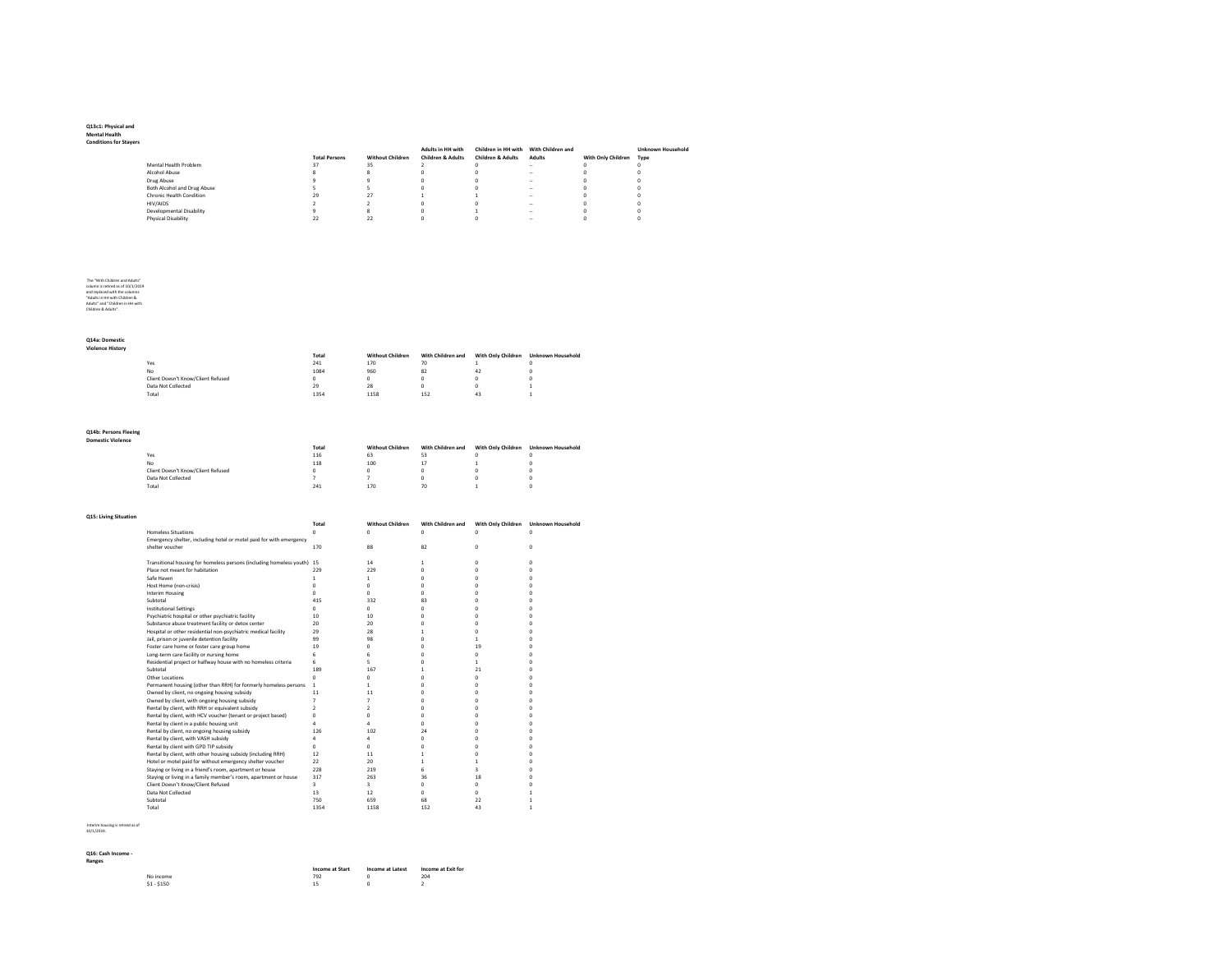# **Q13c1: Physical and Mental Health Conditions for Stayers**

| i Lay Ci S |                             |                      |                         |                              |                                       |               |                    |                          |
|------------|-----------------------------|----------------------|-------------------------|------------------------------|---------------------------------------|---------------|--------------------|--------------------------|
|            |                             |                      |                         | Adults in HH with            | Children in HH with With Children and |               |                    | <b>Unknown Household</b> |
|            |                             | <b>Total Persons</b> | <b>Without Children</b> | <b>Children &amp; Adults</b> | <b>Children &amp; Adults</b>          | <b>Adults</b> | With Only Children | Type                     |
|            | Mental Health Problem       | 37                   | 35                      |                              |                                       | $\sim$        |                    | o                        |
|            | Alcohol Abuse               |                      |                         |                              |                                       | $\sim$        |                    | o                        |
|            | Drug Abuse                  |                      |                         |                              |                                       | $\sim$        |                    |                          |
|            | Both Alcohol and Drug Abuse |                      |                         |                              |                                       | $\sim$        |                    | o                        |
|            | Chronic Health Condition    | 29                   | 27                      |                              |                                       | $\sim$        |                    | o                        |
|            | HIV/AIDS                    |                      |                         |                              |                                       | $\sim$        |                    |                          |
|            | Developmental Disability    |                      |                         |                              |                                       | $\sim$        |                    | o                        |
|            | Physical Disability         | 22                   | 22                      |                              |                                       | $\sim$        |                    |                          |
|            |                             |                      |                         |                              |                                       |               |                    |                          |

# The "With Children and Adults" column is retired as of 10/1/2019 and replaced with the columns "Adults in HH with Children & Adults" and "Children in HH with Children & Adults".

### **Q14a: Domestic Violence History**

|                                    | Total | <b>Without Children</b> | With Children and | With Only Children | <b>Unknown Household</b> |
|------------------------------------|-------|-------------------------|-------------------|--------------------|--------------------------|
| Yes                                | 241   | 170                     | 70                |                    |                          |
| No                                 | 1084  | 960                     | 82                | 42                 |                          |
| Client Doesn't Know/Client Refused |       |                         |                   |                    |                          |
| Data Not Collected                 | 29    | 28                      |                   |                    |                          |
| Total                              | 1354  | 1158                    | 152               | 43                 |                          |

## **Q14b: Persons Fleeing Domestic Violence**

| 10ience |                                    |       |                         |                   |                    |                          |
|---------|------------------------------------|-------|-------------------------|-------------------|--------------------|--------------------------|
|         |                                    | Total | <b>Without Children</b> | With Children and | With Only Children | <b>Unknown Household</b> |
|         | Yes                                | 116   | 63                      | 53                |                    |                          |
|         | No                                 | 118   | 100                     | 17                |                    |                          |
|         | Client Doesn't Know/Client Refused |       |                         |                   |                    |                          |
|         | Data Not Collected                 |       |                         |                   |                    |                          |
|         | Total                              | 241   | 170                     | 70                |                    |                          |

#### **Q15: Living Situation**

| ig situation |                                                                         |                         |                         |                   |                         |                          |
|--------------|-------------------------------------------------------------------------|-------------------------|-------------------------|-------------------|-------------------------|--------------------------|
|              |                                                                         | <b>Total</b>            | <b>Without Children</b> | With Children and | With Only Children      | <b>Unknown Household</b> |
|              | <b>Homeless Situations</b>                                              | n                       | $\Omega$                | $\Omega$          | ń                       | n                        |
|              | Emergency shelter, including hotel or motel paid for with emergency     |                         |                         |                   |                         |                          |
|              | shelter voucher                                                         | 170                     | 88                      | 82                | 0                       | ń                        |
|              | Transitional housing for homeless persons (including homeless youth) 15 |                         | 14                      | $\mathbf{1}$      | $\mathbf{0}$            | n                        |
|              | Place not meant for habitation                                          | 229                     | 229                     | $\Omega$          | n                       | n                        |
|              | Safe Haven                                                              | 1                       | 1.                      | o                 | n                       | n                        |
|              | Host Home (non-crisis)                                                  | n                       | $\Omega$                | o                 | n                       |                          |
|              | <b>Interim Housing</b>                                                  | <b>n</b>                | $\Omega$                | o                 | n                       |                          |
|              | Subtotal                                                                | 415                     | 332                     | 83                | n                       |                          |
|              |                                                                         |                         |                         |                   |                         |                          |
|              | <b>Institutional Settings</b>                                           | n                       | $\Omega$                | o                 | n                       |                          |
|              | Psychiatric hospital or other psychiatric facility                      | 10                      | 10                      | o                 | n                       |                          |
|              | Substance abuse treatment facility or detox center                      | 20                      | 20                      | o                 | n                       |                          |
|              | Hospital or other residential non-psychiatric medical facility          | 29                      | 28                      | 1.                | n                       | n                        |
|              | Jail, prison or juvenile detention facility                             | 99                      | 98                      | o                 | $\mathbf{1}$            |                          |
|              | Foster care home or foster care group home                              | 19                      | $\Omega$                | o                 | 19                      | n                        |
|              | Long-term care facility or nursing home                                 | 6                       | 6                       | O                 | o                       | n                        |
|              | Residential project or halfway house with no homeless criteria          | 6                       | 5.                      | O                 | $\mathbf{1}$            | n                        |
|              | Subtotal                                                                | 189                     | 167                     | 1                 | 21                      | n                        |
|              | Other Locations                                                         | $\mathbf 0$             | $\Omega$                | o                 | o                       | n                        |
|              | Permanent housing (other than RRH) for formerly homeless persons        | $\mathbf{1}$            | 1.                      | O                 | 0                       |                          |
|              | Owned by client, no ongoing housing subsidy                             | 11                      | 11                      | O                 | n                       |                          |
|              | Owned by client, with ongoing housing subsidy                           | $\overline{7}$          | $\overline{7}$          | O                 | n                       |                          |
|              | Rental by client, with RRH or equivalent subsidy                        | $\overline{2}$          | $\mathcal{P}$           | O                 | n                       |                          |
|              | Rental by client, with HCV voucher (tenant or project based)            | n                       | $\Omega$                | o                 | n                       |                          |
|              | Rental by client in a public housing unit                               | 4                       | Λ                       | o                 | 0                       | n                        |
|              | Rental by client, no ongoing housing subsidy                            | 126                     | 102                     | 24                | 0                       |                          |
|              | Rental by client, with VASH subsidy                                     | 4                       | $\Delta$                | o                 | n                       | n                        |
|              | Rental by client with GPD TIP subsidy                                   | n                       | $\Omega$                | o                 | n                       |                          |
|              | Rental by client, with other housing subsidy (including RRH)            | 12                      | 11                      | 1.                | ń                       |                          |
|              | Hotel or motel paid for without emergency shelter voucher               | 22                      | 20                      | $\mathbf{1}$      | 1                       |                          |
|              | Staying or living in a friend's room, apartment or house                | 228                     | 219                     | 6.                | $\overline{\mathbf{3}}$ |                          |
|              | Staying or living in a family member's room, apartment or house         | 317                     | 263                     | 36                | 18                      |                          |
|              | Client Doesn't Know/Client Refused                                      | $\overline{\mathbf{3}}$ | $\overline{\mathbf{3}}$ | 0                 | o                       |                          |
|              | Data Not Collected                                                      | 13                      | 12                      | 0                 | 0                       |                          |
|              | Subtotal                                                                | 750                     | 659                     | 68                | 22                      |                          |
|              | Total                                                                   | 1354                    | 1158                    | 152               | 43                      | 1                        |
|              |                                                                         |                         |                         |                   |                         |                          |

Interim housing is retired as of 10/1/2019.

### **Q16: Cash Income - Ranges**

|             | <b>Income at Start</b> | <b>Income at Latest</b> | Income at Exit for |
|-------------|------------------------|-------------------------|--------------------|
| No income   | 792                    |                         | 204                |
| $$1 - $150$ |                        |                         |                    |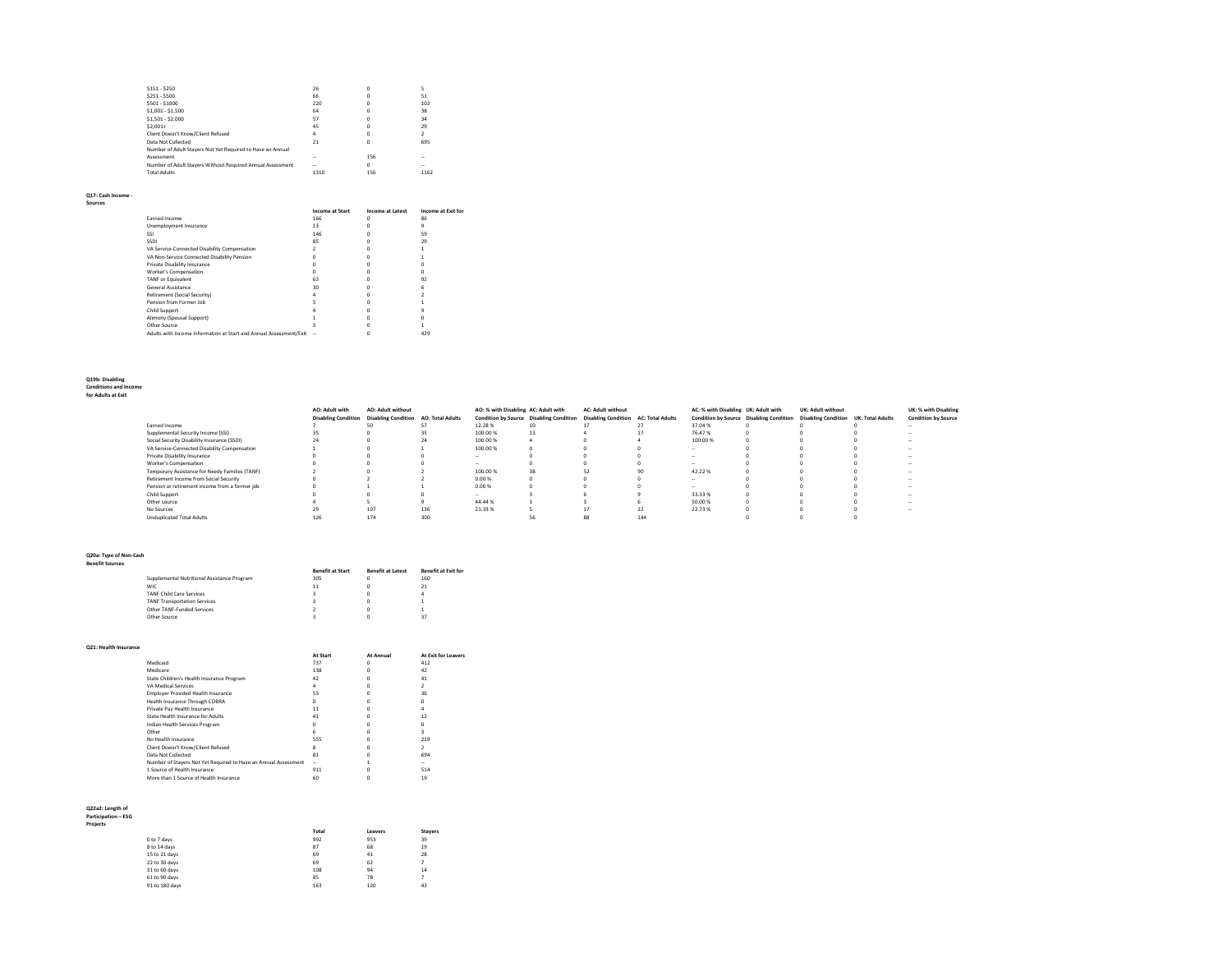| $$151 - $250$                                              | 26     | O   | 5             |
|------------------------------------------------------------|--------|-----|---------------|
| $$251 - $500$                                              | 66     | n   | 51            |
| $$501 - $1000$                                             | 220    | n   | 102           |
| $$1,001 - $1,500$                                          | 64     | n   | 38            |
| $$1,501 - $2,000$                                          | 57     | n   | 34            |
| $$2.001+$                                                  | 45     | n   | 29            |
| Client Doesn't Know/Client Refused                         | 4      | n   | $\mathcal{P}$ |
| Data Not Collected                                         | 21     | O   | 695           |
| Number of Adult Stavers Not Yet Required to Have an Annual |        |     |               |
| Assessment                                                 | -      | 156 | -             |
| Number of Adult Stavers Without Required Annual Assessment | $\sim$ | 0   | -             |
| <b>Total Adults</b>                                        | 1310   | 156 | 1162          |
|                                                            |        |     |               |

#### **Q17: Cash Income -**

| . |  |  |
|---|--|--|
|   |  |  |
|   |  |  |

|                                                                    | <b>Income at Start</b> | <b>Income at Latest</b> | <b>Income at Exit for</b> |
|--------------------------------------------------------------------|------------------------|-------------------------|---------------------------|
| Earned Income                                                      | 166                    |                         | 86                        |
| Unemployment Insurance                                             | 13                     |                         | ۹                         |
| SSI                                                                | 146                    |                         | 59                        |
| <b>SSDI</b>                                                        | 85                     |                         | 29                        |
| VA Service-Connected Disability Compensation                       |                        |                         |                           |
| VA Non-Service Connected Disability Pension                        |                        |                         |                           |
| Private Disability Insurance                                       |                        |                         |                           |
| Worker's Compensation                                              |                        |                         |                           |
| <b>TANF or Equivalent</b>                                          | 63                     |                         | 92                        |
| General Assistance                                                 | 30                     |                         |                           |
| Retirement (Social Security)                                       |                        |                         |                           |
| Pension from Former Job                                            |                        |                         |                           |
| Child Support                                                      |                        |                         |                           |
| Alimony (Spousal Support)                                          |                        |                         |                           |
| Other Source                                                       |                        |                         |                           |
| Adults with Income Information at Start and Annual Assessment/Exit |                        |                         | 429                       |

# **Q19b: Disabling Conditions and Income for Adults at Exit**

|                                                | AO: Adult with | <b>AO: Adult without</b><br>Disabling Condition Disabling Condition AO: Total Adults |     | AO: % with Disabling AC: Adult with<br>Condition by Source Disabling Condition |    | <b>AC: Adult without</b><br><b>Disabling Condition AC: Total Adults</b> |                          | AC: % with Disabling UK: Adult with | UK: Adult without<br>Condition by Source Disabling Condition Disabling Condition UK: Total Adults | UK: % with Disabling<br><b>Condition by Source</b> |
|------------------------------------------------|----------------|--------------------------------------------------------------------------------------|-----|--------------------------------------------------------------------------------|----|-------------------------------------------------------------------------|--------------------------|-------------------------------------|---------------------------------------------------------------------------------------------------|----------------------------------------------------|
| Earned Income                                  |                |                                                                                      |     | 12.28%                                                                         |    |                                                                         |                          | 37.04%                              |                                                                                                   |                                                    |
| Supplemental Security Income (SSI)             | 35             |                                                                                      |     | 100.00%                                                                        | 13 |                                                                         |                          | 76.47%                              |                                                                                                   |                                                    |
| Social Security Disability Insurance (SSDI)    | 24             |                                                                                      |     | 100.00%                                                                        |    |                                                                         |                          | 100.00%                             |                                                                                                   |                                                    |
| VA Service-Connected Disability Compensation   |                |                                                                                      |     | 100.00%                                                                        |    |                                                                         |                          | $\overline{\phantom{a}}$            |                                                                                                   | -                                                  |
| Private Disability Insurance                   |                |                                                                                      |     | $\sim$                                                                         |    |                                                                         |                          | $\overline{\phantom{a}}$            |                                                                                                   | $\sim$                                             |
| Worker's Compensation                          |                |                                                                                      |     | $\sim$                                                                         |    |                                                                         |                          |                                     |                                                                                                   |                                                    |
| Temporary Assistance for Needy Families (TANF) |                |                                                                                      |     | 100.00%                                                                        | 38 | 52                                                                      |                          | 42.22%                              |                                                                                                   |                                                    |
| Retirement Income from Social Security         |                |                                                                                      |     | 0.00%                                                                          |    |                                                                         |                          | -                                   |                                                                                                   |                                                    |
| Pension or retirement income from a former job |                |                                                                                      |     | 0.00%                                                                          |    |                                                                         |                          | $\sim$                              |                                                                                                   |                                                    |
| Child Support                                  |                |                                                                                      |     | $\sim$                                                                         |    |                                                                         |                          | 33.33%                              |                                                                                                   |                                                    |
| Other source                                   |                |                                                                                      |     | 44.44%                                                                         |    |                                                                         |                          | 50.00%                              |                                                                                                   |                                                    |
| No Sources                                     | 29             | 107                                                                                  | 136 | 21.33%                                                                         |    |                                                                         | $\overline{\mathcal{L}}$ | 22.73%                              |                                                                                                   | $\sim$                                             |
| <b>Unduplicated Total Adults</b>               | 126            | 174                                                                                  | 300 |                                                                                |    | 88                                                                      | 144                      |                                     |                                                                                                   |                                                    |

### **Q20a: Type of Non-Cash Benefit Sources**

|                                             | <b>Benefit at Start</b> | <b>Benefit at Latest</b> | <b>Benefit at Exit for</b> |
|---------------------------------------------|-------------------------|--------------------------|----------------------------|
| Supplemental Nutritional Assistance Program | 305                     |                          | 160                        |
| <b>WIC</b>                                  | 11                      |                          | 21                         |
| <b>TANF Child Care Services</b>             | $\overline{\mathbf{z}}$ |                          | 4                          |
| <b>TANF Transportation Services</b>         |                         |                          |                            |
| Other TANF-Funded Services                  |                         |                          |                            |
| Other Source                                |                         |                          | 37                         |

#### **Q21: Health Insurance**

| uzi. ncani iliyu alivc     |                                                                 |                 |                  |                     |
|----------------------------|-----------------------------------------------------------------|-----------------|------------------|---------------------|
|                            |                                                                 | <b>At Start</b> | <b>At Annual</b> | At Exit for Leavers |
|                            | Medicaid                                                        | 737             | $^{\circ}$       | 412                 |
|                            | Medicare                                                        | 138             | $^{\circ}$       | 42                  |
|                            | State Children's Health Insurance Program                       | 42              | $\Omega$         | 41                  |
|                            | VA Medical Services                                             | 4               | $^{\circ}$       | $\overline{2}$      |
|                            | Employer Provided Health Insurance                              | 53              | $\Omega$         | 36                  |
|                            | Health Insurance Through COBRA                                  | O.              | $\Omega$         | $\Omega$            |
|                            | Private Pay Health Insurance                                    | 11              | $\Omega$         | 4                   |
|                            | State Health Insurance for Adults                               | 41              | $\Omega$         | 12                  |
|                            | Indian Health Services Program                                  | <b>n</b>        | $\Omega$         | $^{\circ}$          |
|                            | Other                                                           | 6               | $\Omega$         | 3                   |
|                            | No Health Insurance                                             | 555             | $\Omega$         | 219                 |
|                            | Client Doesn't Know/Client Refused                              | 8               | $\Omega$         | $\overline{2}$      |
|                            | Data Not Collected                                              | 81              | $\Omega$         | 694                 |
|                            | Number of Stayers Not Yet Required to Have an Annual Assessment | ۰               | 1                | ÷                   |
|                            | 1 Source of Health Insurance                                    | 911             | $^{\circ}$       | 514                 |
|                            | More than 1 Source of Health Insurance                          | 60              | $\Omega$         | 19                  |
|                            |                                                                 |                 |                  |                     |
| Q22a2: Length of           |                                                                 |                 |                  |                     |
| <b>Participation - ESG</b> |                                                                 |                 |                  |                     |
| Projects                   |                                                                 |                 |                  |                     |
|                            |                                                                 | Total           | Leavers          | <b>Stayers</b>      |
|                            | 0 to 7 days                                                     | 992             | 953              | 39                  |
|                            | 8 to 14 days                                                    | 87              | 68               | 19                  |
|                            | 15 to 21 days                                                   | 69              | 41               | 28                  |
|                            | 22 to 30 days                                                   | 69              | 62               | $\overline{ }$      |
|                            | 31 to 60 days                                                   | 108             | 94               | 14                  |
|                            | 61 to 90 days                                                   | 85              | 78               | $\overline{ }$      |
|                            | 91 to 180 days                                                  | 163             | 120              | 43                  |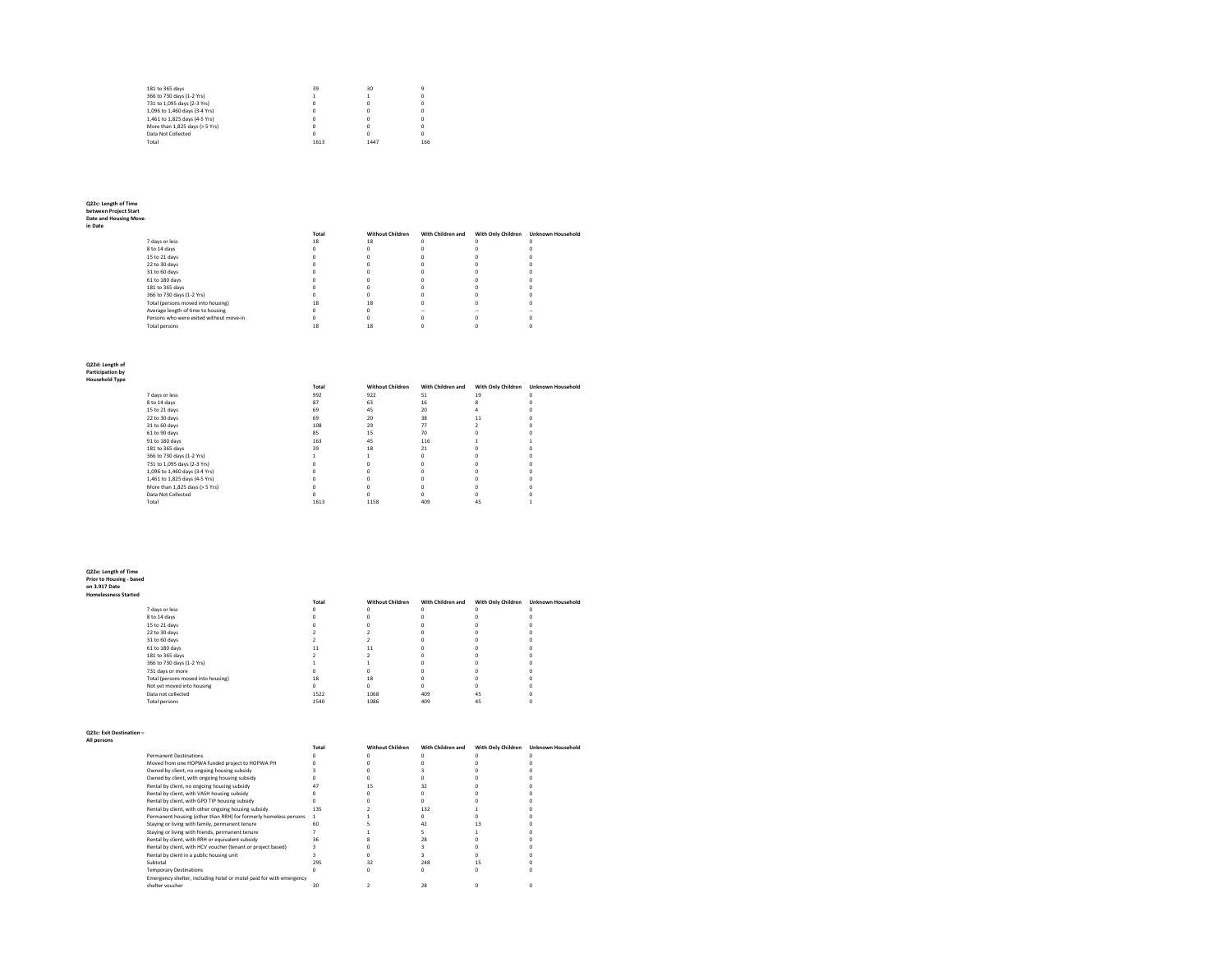| 181 to 365 days                | 39   | 30   |     |
|--------------------------------|------|------|-----|
| 366 to 730 days (1-2 Yrs)      |      |      |     |
| 731 to 1.095 days (2-3 Yrs)    | n    | n    |     |
| 1.096 to 1.460 days (3-4 Yrs)  | 0    | n    |     |
| 1.461 to 1.825 days (4-5 Yrs)  | n    | n    |     |
| More than 1.825 days (> 5 Yrs) | n    |      |     |
| Data Not Collected             | n    | n    |     |
| Total                          | 1613 | 1447 | 166 |
|                                |      |      |     |

# **Q22c: Length of Time between Project Start Date and Housing Move-in Date**

|                                         | Total | <b>Without Children</b> | With Children and | With Only Children | <b>Unknown Household</b> |
|-----------------------------------------|-------|-------------------------|-------------------|--------------------|--------------------------|
| 7 days or less                          | 18    | 18                      |                   |                    |                          |
| 8 to 14 days                            |       |                         |                   |                    |                          |
| 15 to 21 days                           |       |                         |                   |                    |                          |
| 22 to 30 days                           |       |                         |                   |                    |                          |
| 31 to 60 days                           |       |                         |                   |                    |                          |
| 61 to 180 days                          |       |                         |                   |                    |                          |
| 181 to 365 days                         |       |                         |                   |                    |                          |
| 366 to 730 days (1-2 Yrs)               |       |                         |                   |                    |                          |
| Total (persons moved into housing)      | 18    | 18                      |                   |                    |                          |
| Average length of time to housing       |       |                         |                   |                    |                          |
| Persons who were exited without move-in |       |                         |                   |                    |                          |
| Total persons                           |       |                         |                   |                    |                          |
|                                         |       |                         |                   |                    |                          |

## **Q22d: Length of Participation by Household Type**

|                     | . |  |
|---------------------|---|--|
| <b>Household Ty</b> |   |  |

|                                | Total | <b>Without Children</b> | With Children and | With Only Children | <b>Unknown Household</b> |
|--------------------------------|-------|-------------------------|-------------------|--------------------|--------------------------|
| 7 days or less                 | 992   | 922                     | 51                | 19                 |                          |
| 8 to 14 days                   | 87    | 63                      | 16                |                    |                          |
| 15 to 21 days                  | 69    | 45                      | 20                |                    |                          |
| 22 to 30 days                  | 69    | 20                      | 38                |                    |                          |
| 31 to 60 days                  | 108   | 29                      | 77                |                    |                          |
| 61 to 90 days                  | 85    | 15                      | 70                |                    |                          |
| 91 to 180 days                 | 163   | 45                      | 116               |                    |                          |
| 181 to 365 days                | 39    | 18                      | 21                |                    |                          |
| 366 to 730 days (1-2 Yrs)      |       |                         |                   |                    |                          |
| 731 to 1,095 days (2-3 Yrs)    |       |                         |                   |                    |                          |
| 1,096 to 1,460 days (3-4 Yrs)  |       |                         |                   |                    |                          |
| 1,461 to 1,825 days (4-5 Yrs)  |       |                         |                   |                    |                          |
| More than 1,825 days (> 5 Yrs) |       |                         |                   |                    |                          |
| Data Not Collected             |       |                         |                   |                    |                          |
| Total                          | 1613  | 1158                    | 409               | 45                 |                          |

**Q22e: Length of Time Prior to Housing - based on 3.917 Date Homelessness Started**

| melessness Started |                                    |              |                         |                   |                    |                          |
|--------------------|------------------------------------|--------------|-------------------------|-------------------|--------------------|--------------------------|
|                    |                                    | <b>Total</b> | <b>Without Children</b> | With Children and | With Only Children | <b>Unknown Household</b> |
|                    | 7 days or less                     |              |                         |                   |                    |                          |
|                    | 8 to 14 days                       |              |                         |                   |                    |                          |
|                    | 15 to 21 days                      |              |                         |                   |                    |                          |
|                    | 22 to 30 days                      |              |                         |                   |                    |                          |
|                    | 31 to 60 days                      |              |                         |                   |                    |                          |
|                    | 61 to 180 days                     |              | 11                      |                   |                    |                          |
|                    | 181 to 365 days                    |              |                         |                   |                    |                          |
|                    | 366 to 730 days (1-2 Yrs)          |              |                         |                   |                    |                          |
|                    | 731 days or more                   |              |                         |                   |                    |                          |
|                    | Total (persons moved into housing) | 18           | 18                      |                   |                    |                          |
|                    | Not yet moved into housing         |              |                         |                   |                    |                          |
|                    | Data not collected                 | 1522         | 1068                    | 409               | 45                 |                          |
|                    | <b>Total persons</b>               | 1540         | 1086                    | 409               | 45                 |                          |
|                    |                                    |              |                         |                   |                    |                          |

## **Q23c: Exit Destination – All persons**

|                                                                     | Total | <b>Without Children</b> | With Children and | With Only Children | <b>Unknown Household</b> |
|---------------------------------------------------------------------|-------|-------------------------|-------------------|--------------------|--------------------------|
| <b>Permanent Destinations</b>                                       |       |                         |                   |                    |                          |
| Moved from one HOPWA funded project to HOPWA PH                     |       |                         |                   |                    |                          |
| Owned by client, no ongoing housing subsidy                         |       |                         |                   |                    |                          |
| Owned by client, with ongoing housing subsidy                       |       |                         |                   |                    |                          |
| Rental by client, no ongoing housing subsidy                        |       |                         |                   |                    |                          |
| Rental by client, with VASH housing subsidy                         |       |                         |                   |                    |                          |
| Rental by client, with GPD TIP housing subsidy                      |       |                         |                   |                    |                          |
| Rental by client, with other ongoing housing subsidy                | 135   |                         | 132               |                    |                          |
| Permanent housing (other than RRH) for formerly homeless persons    |       |                         |                   |                    |                          |
| Staying or living with family, permanent tenure                     | 60    |                         | 42                |                    |                          |
| Staying or living with friends, permanent tenure                    |       |                         |                   |                    |                          |
| Rental by client, with RRH or equivalent subsidy                    | 36    |                         |                   |                    |                          |
| Rental by client, with HCV voucher (tenant or project based)        |       |                         |                   |                    |                          |
| Rental by client in a public housing unit                           |       |                         |                   |                    |                          |
| Subtotal                                                            | 295   | 32                      | 248               |                    |                          |
| <b>Temporary Destinations</b>                                       |       |                         |                   |                    |                          |
| Emergency shelter, including hotel or motel paid for with emergency |       |                         |                   |                    |                          |
| shelter voucher                                                     | 30    |                         | 28                |                    |                          |
|                                                                     |       |                         |                   |                    |                          |